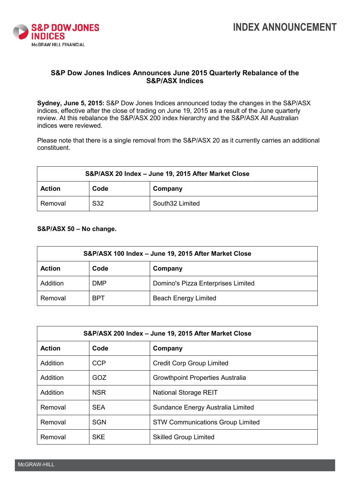

## **S&P Dow Jones Indices Announces June 2015 Quarterly Rebalance of the S&P/ASX Indices**

**Sydney, June 5, 2015:** S&P Dow Jones Indices announced today the changes in the S&P/ASX indices, effective after the close of trading on June 19, 2015 as a result of the June quarterly review. At this rebalance the S&P/ASX 200 index hierarchy and the S&P/ASX All Australian indices were reviewed.

Please note that there is a single removal from the S&P/ASX 20 as it currently carries an additional constituent.

| S&P/ASX 20 Index - June 19, 2015 After Market Close |      |                 |  |  |
|-----------------------------------------------------|------|-----------------|--|--|
| <b>Action</b>                                       | Code | Company         |  |  |
| Removal                                             | S32  | South32 Limited |  |  |

## **S&P/ASX 50 – No change.**

| S&P/ASX 100 Index - June 19, 2015 After Market Close |            |                                    |  |  |
|------------------------------------------------------|------------|------------------------------------|--|--|
| <b>Action</b>                                        | Code       | Company                            |  |  |
| Addition                                             | <b>DMP</b> | Domino's Pizza Enterprises Limited |  |  |
| Removal                                              | <b>BPT</b> | <b>Beach Energy Limited</b>        |  |  |

| S&P/ASX 200 Index - June 19, 2015 After Market Close |            |                                         |  |  |
|------------------------------------------------------|------------|-----------------------------------------|--|--|
| <b>Action</b>                                        | Code       | Company                                 |  |  |
| Addition                                             | <b>CCP</b> | <b>Credit Corp Group Limited</b>        |  |  |
| Addition                                             | GOZ        | <b>Growthpoint Properties Australia</b> |  |  |
| Addition                                             | <b>NSR</b> | <b>National Storage REIT</b>            |  |  |
| Removal                                              | <b>SEA</b> | Sundance Energy Australia Limited       |  |  |
| Removal                                              | <b>SGN</b> | <b>STW Communications Group Limited</b> |  |  |
| Removal                                              | <b>SKE</b> | <b>Skilled Group Limited</b>            |  |  |